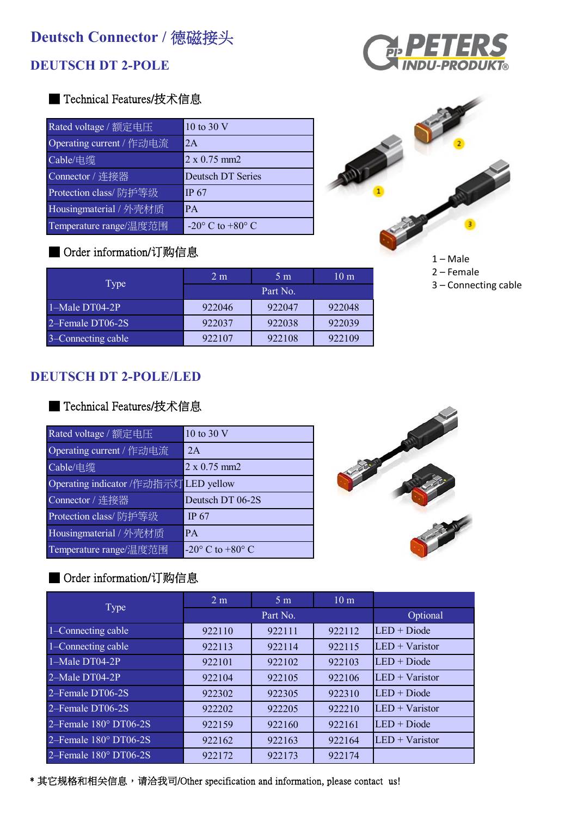# **Deutsch Connector / 德磁接头**

# **DEUTSCH DT 2-POLE**



| Rated voltage / 额定电压     | 10 to 30 V                         |
|--------------------------|------------------------------------|
| Operating current / 作动电流 | 2A                                 |
| Cable/电缆                 | $2 \times 0.75$ mm2                |
| Connector / 连接器          | <b>Deutsch DT Series</b>           |
| Protection class/防护等级    | IP 67                              |
| Housingmaterial / 外壳材质   | <b>PA</b>                          |
| Temperature range/温度范围   | -20 $\degree$ C to +80 $\degree$ C |

# ■ Order information/订购信息

| Type               | 2 <sub>m</sub> | 5 <sub>m</sub> | 10 <sub>m</sub> |  |
|--------------------|----------------|----------------|-----------------|--|
|                    | Part No.       |                |                 |  |
| $1-Male DTO4-2P$   | 922046         | 922047         | 922048          |  |
| 2–Female DT06-2S   | 922037         | 922038         | 922039          |  |
| 3–Connecting cable | 922107         | 922108         | 922109          |  |

## **DEUTSCH DT 2-POLE/LED**

#### ■ Technical Features/技术信息

| 10 to 30 V                            |
|---------------------------------------|
| 2A                                    |
| $2 \times 0.75$ mm2                   |
| Operating indicator /作动指示灯 LED yellow |
| Deutsch DT 06-2S                      |
| IP $67$                               |
| <b>PA</b>                             |
| -20 $\degree$ C to +80 $\degree$ C    |
|                                       |



## ■ Order information/订购信息

|                       | 2 <sub>m</sub> | 5 <sub>m</sub> | 10 <sub>m</sub> |                  |
|-----------------------|----------------|----------------|-----------------|------------------|
| Type                  |                | Part No.       |                 | Optional         |
| 1-Connecting cable    | 922110         | 922111         | 922112          | $LED + Diode$    |
| 1–Connecting cable    | 922113         | 922114         | 922115          | $LED + Varistor$ |
| $1-Male DTO4-2P$      | 922101         | 922102         | 922103          | $LED + Diode$    |
| 2-Male DT04-2P        | 922104         | 922105         | 922106          | $LED + Varistor$ |
| 2–Female DT06-2S      | 922302         | 922305         | 922310          | $LED + Diode$    |
| 2–Female DT06-2S      | 922202         | 922205         | 922210          | $LED + Varistor$ |
| 2-Female 180° DT06-2S | 922159         | 922160         | 922161          | $LED + Diode$    |
| 2-Female 180° DT06-2S | 922162         | 922163         | 922164          | $LED + Varistor$ |
| 2–Female 180° DT06-2S | 922172         | 922173         | 922174          |                  |





 $1 - Male$ 2 – Female 3 – Connecting cable

\* 其它规格和相关信息,请洽我司/Other specification and information, please contact us!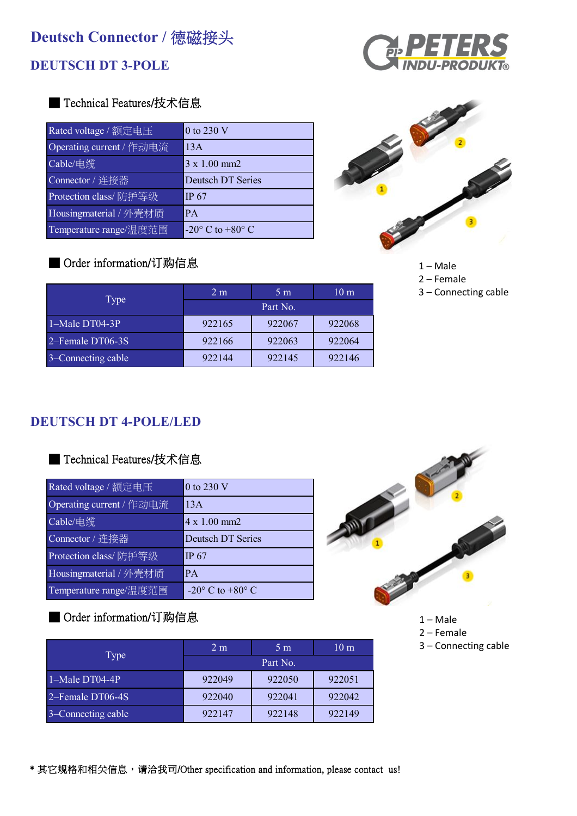# **DEUTSCH DT 3-POLE**



## ■ Technical Features/技术信息

| Rated voltage / 额定电压     | 0 to 230 V                     |
|--------------------------|--------------------------------|
| Operating current / 作动电流 | 13A                            |
| Cable/电缆                 | $3 \times 1.00$ mm2            |
| Connector / 连接器          | <b>Deutsch DT Series</b>       |
| Protection class/防护等级    | <b>IP 67</b>                   |
| Housingmaterial / 外壳材质   | <b>PA</b>                      |
| Temperature range/温度范围   | $-20^\circ$ C to $+80^\circ$ C |

# ■ Order information/订购信息



1 – Male

- 2 Female
- 3 Connecting cable

| Type               | 2 <sub>m</sub> | 5 <sub>m</sub> | 10 <sub>m</sub> |
|--------------------|----------------|----------------|-----------------|
|                    | Part No.       |                |                 |
| $1 -$ Male DT04-3P | 922165         | 922067         | 922068          |
| 2–Female DT06-3S   | 922166         | 922063         | 922064          |
| 3–Connecting cable | 922144         | 922145         | 922146          |

# **DEUTSCH DT 4-POLE/LED**

#### ■ Technical Features/技术信息

| Rated voltage / 额定电压     | 0 to 230 V                         |
|--------------------------|------------------------------------|
| Operating current / 作动电流 | 13A                                |
| Cable/电缆                 | 4 x 1.00 mm2                       |
| Connector / 连接器          | <b>Deutsch DT Series</b>           |
| Protection class/防护等级    | <b>IP 67</b>                       |
| Housingmaterial / 外壳材质   | <b>PA</b>                          |
| Temperature range/温度范围   | -20 $\degree$ C to +80 $\degree$ C |

# ■ Order information/订购信息

|                    | 2 <sub>m</sub> | 5 <sub>m</sub> | 10 <sub>m</sub> |
|--------------------|----------------|----------------|-----------------|
| Type               |                | Part No.       |                 |
| $1-Male DT04-4P$   | 922049         | 922050         | 922051          |
| 2–Female DT06-4S   | 922040         | 922041         | 922042          |
| 3–Connecting cable | 922147         | 922148         | 922149          |



- 1 Male
- 2 Female
- 3 Connecting cable